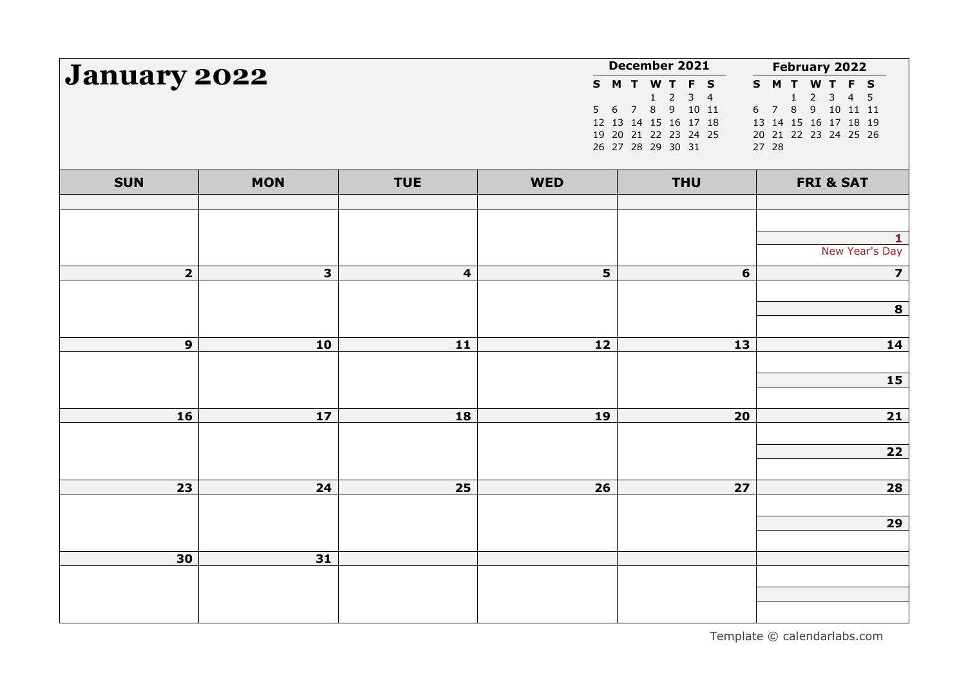| <b>January 2022</b> |                         |                         |            | December 2021                                                                                                                                                | February 2022                                                                                                                                      |
|---------------------|-------------------------|-------------------------|------------|--------------------------------------------------------------------------------------------------------------------------------------------------------------|----------------------------------------------------------------------------------------------------------------------------------------------------|
|                     |                         |                         | 5          | S M T W T F S<br>$\overline{2}$<br>$\mathbf{1}$<br>3<br>$\overline{4}$<br>6 7 8 9 10 11<br>12 13 14 15 16 17 18<br>19 20 21 22 23 24 25<br>26 27 28 29 30 31 | S M T W T F S<br>$\overline{2}$<br>1<br>3<br>$\overline{4}$<br>5<br>78<br>9 10 11 11<br>6<br>13 14 15 16 17 18 19<br>20 21 22 23 24 25 26<br>27 28 |
| <b>SUN</b>          | <b>MON</b>              | <b>TUE</b>              | <b>WED</b> | <b>THU</b>                                                                                                                                                   | <b>FRI &amp; SAT</b>                                                                                                                               |
|                     |                         |                         |            |                                                                                                                                                              |                                                                                                                                                    |
|                     |                         |                         |            |                                                                                                                                                              | 1.                                                                                                                                                 |
|                     |                         |                         |            |                                                                                                                                                              | New Year's Day                                                                                                                                     |
| $\overline{2}$      | $\overline{\mathbf{3}}$ | $\overline{\mathbf{4}}$ | 5          | 6                                                                                                                                                            | $\overline{\mathbf{z}}$                                                                                                                            |
|                     |                         |                         |            |                                                                                                                                                              | 8                                                                                                                                                  |
|                     |                         |                         |            |                                                                                                                                                              |                                                                                                                                                    |
| $\mathbf{9}$        | 10                      | 11                      | 12         | 13                                                                                                                                                           | 14                                                                                                                                                 |
|                     |                         |                         |            |                                                                                                                                                              | <b>15</b>                                                                                                                                          |
|                     |                         |                         |            |                                                                                                                                                              |                                                                                                                                                    |
| 16                  | 17                      | 18                      | 19         | 20                                                                                                                                                           | $21$                                                                                                                                               |
|                     |                         |                         |            |                                                                                                                                                              |                                                                                                                                                    |
|                     |                         |                         |            |                                                                                                                                                              | $\overline{22}$                                                                                                                                    |
| 23                  | 24                      | 25                      | 26         | 27                                                                                                                                                           | $\boxed{28}$                                                                                                                                       |
|                     |                         |                         |            |                                                                                                                                                              |                                                                                                                                                    |
|                     |                         |                         |            |                                                                                                                                                              | 29                                                                                                                                                 |
| 30                  | 31                      |                         |            |                                                                                                                                                              |                                                                                                                                                    |
|                     |                         |                         |            |                                                                                                                                                              |                                                                                                                                                    |
|                     |                         |                         |            |                                                                                                                                                              |                                                                                                                                                    |
|                     |                         |                         |            |                                                                                                                                                              |                                                                                                                                                    |

Template © calendarlabs.com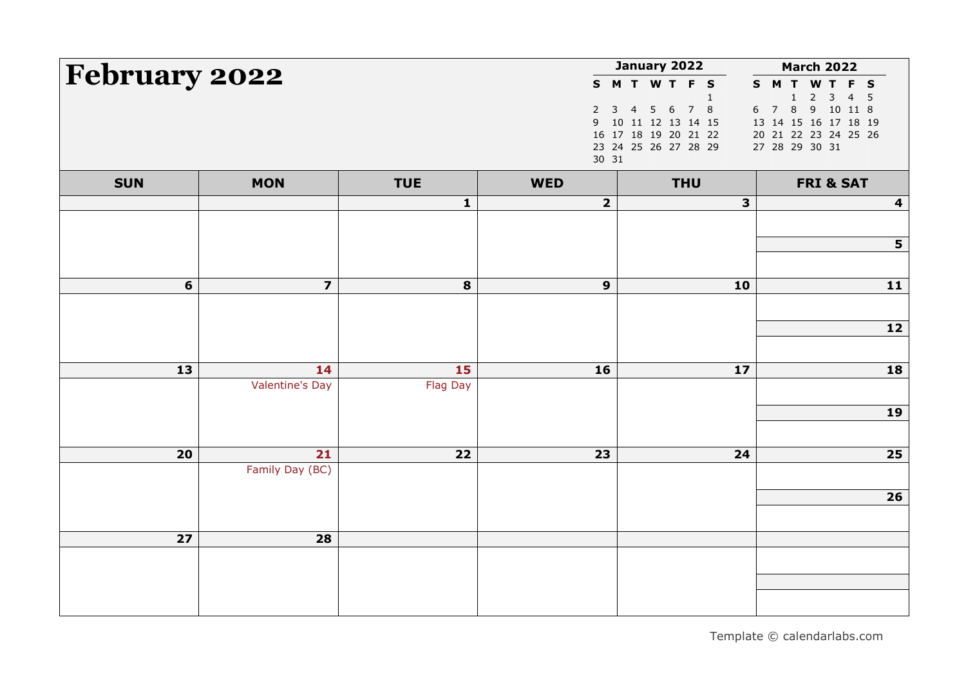| February 2022 |                         |              |                                           | January 2022                                                                                                                                   | <b>March 2022</b>                                                                                                                                                                     |
|---------------|-------------------------|--------------|-------------------------------------------|------------------------------------------------------------------------------------------------------------------------------------------------|---------------------------------------------------------------------------------------------------------------------------------------------------------------------------------------|
|               |                         |              | $\overline{2}$<br>$\overline{9}$<br>30 31 | S M T W T F S<br>$\mathbf{1}$<br>7 8<br>$5\quad 6$<br>3<br>$\overline{4}$<br>10 11 12 13 14 15<br>16 17 18 19 20 21 22<br>23 24 25 26 27 28 29 | $\mathbf{s}$<br><b>MTWTFS</b><br>$\overline{c}$<br>3<br>$\overline{4}$<br>5<br>$\mathbf{1}$<br>78<br>9 10 11 8<br>6<br>13 14 15 16 17 18 19<br>20 21 22 23 24 25 26<br>27 28 29 30 31 |
| <b>SUN</b>    | <b>MON</b>              | <b>TUE</b>   | <b>WED</b>                                | <b>THU</b>                                                                                                                                     | <b>FRI &amp; SAT</b>                                                                                                                                                                  |
|               |                         | $\mathbf{1}$ | $\mathbf{2}$                              | 3                                                                                                                                              | $\overline{\mathbf{4}}$                                                                                                                                                               |
|               |                         |              |                                           |                                                                                                                                                |                                                                                                                                                                                       |
|               |                         |              |                                           |                                                                                                                                                | 5                                                                                                                                                                                     |
| 6             | $\overline{\mathbf{z}}$ | 8            | $\boldsymbol{9}$                          | 10                                                                                                                                             | 11                                                                                                                                                                                    |
|               |                         |              |                                           |                                                                                                                                                |                                                                                                                                                                                       |
|               |                         |              |                                           |                                                                                                                                                | 12                                                                                                                                                                                    |
|               |                         |              |                                           |                                                                                                                                                |                                                                                                                                                                                       |
| 13            | 14                      | 15           | 16                                        | $17$                                                                                                                                           | 18                                                                                                                                                                                    |
|               | <b>Valentine's Day</b>  | Flag Day     |                                           |                                                                                                                                                |                                                                                                                                                                                       |
|               |                         |              |                                           |                                                                                                                                                | 19                                                                                                                                                                                    |
|               |                         |              |                                           |                                                                                                                                                |                                                                                                                                                                                       |
| 20            | 21                      | 22           | 23                                        | 24                                                                                                                                             | 25                                                                                                                                                                                    |
|               | Family Day (BC)         |              |                                           |                                                                                                                                                |                                                                                                                                                                                       |
|               |                         |              |                                           |                                                                                                                                                | 26                                                                                                                                                                                    |
|               |                         |              |                                           |                                                                                                                                                |                                                                                                                                                                                       |
| 27            | 28                      |              |                                           |                                                                                                                                                |                                                                                                                                                                                       |
|               |                         |              |                                           |                                                                                                                                                |                                                                                                                                                                                       |
|               |                         |              |                                           |                                                                                                                                                |                                                                                                                                                                                       |
|               |                         |              |                                           |                                                                                                                                                |                                                                                                                                                                                       |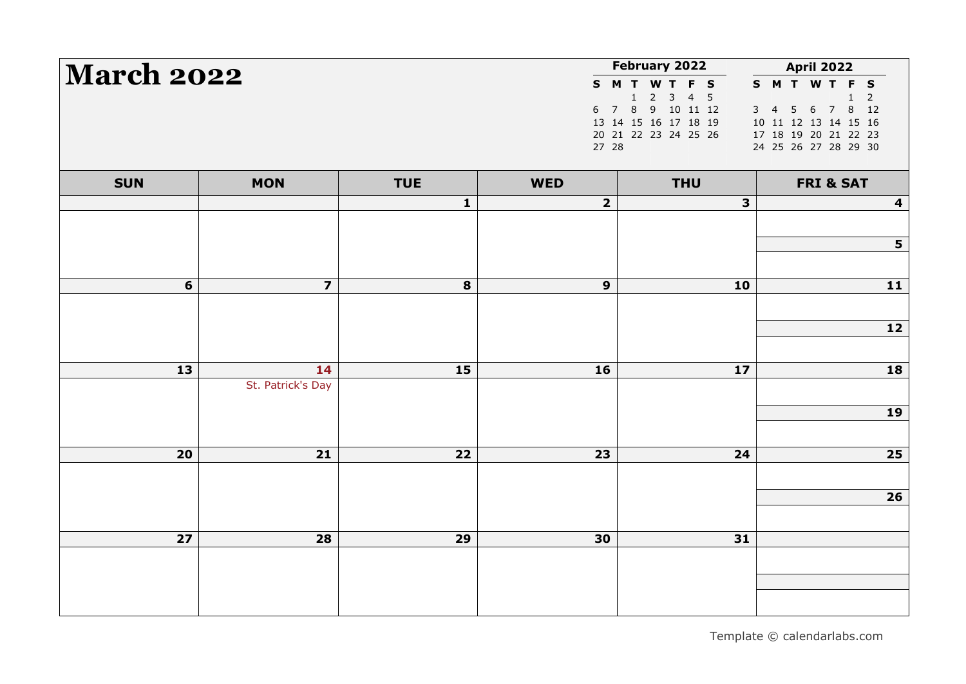| <b>March 2022</b> |                         |              |                         | February 2022                                                                                                                              | <b>April 2022</b>                                                                                                                         |
|-------------------|-------------------------|--------------|-------------------------|--------------------------------------------------------------------------------------------------------------------------------------------|-------------------------------------------------------------------------------------------------------------------------------------------|
|                   |                         |              | 27 28                   | S M T W T F S<br>$\overline{2}$<br>1<br>$\mathbf{3}$<br>4 <sub>5</sub><br>6 7 8 9 10 11 12<br>13 14 15 16 17 18 19<br>20 21 22 23 24 25 26 | S M T W T F S<br>$\overline{2}$<br>$\mathbf{1}$<br>3 4 5 6 7 8 12<br>10 11 12 13 14 15 16<br>17 18 19 20 21 22 23<br>24 25 26 27 28 29 30 |
| <b>SUN</b>        | <b>MON</b>              | <b>TUE</b>   | <b>WED</b>              | <b>THU</b>                                                                                                                                 | <b>FRI &amp; SAT</b>                                                                                                                      |
|                   |                         | $\mathbf{1}$ | $\overline{\mathbf{2}}$ | 3                                                                                                                                          | 4                                                                                                                                         |
|                   |                         |              |                         |                                                                                                                                            |                                                                                                                                           |
|                   |                         |              |                         |                                                                                                                                            | 5                                                                                                                                         |
| 6                 | $\overline{\mathbf{z}}$ | 8            | $\mathbf{9}$            | 10                                                                                                                                         | 11                                                                                                                                        |
|                   |                         |              |                         |                                                                                                                                            |                                                                                                                                           |
|                   |                         |              |                         |                                                                                                                                            | 12                                                                                                                                        |
|                   |                         |              |                         |                                                                                                                                            |                                                                                                                                           |
| 13                | 14                      | 15           | 16                      | 17                                                                                                                                         | 18                                                                                                                                        |
|                   | St. Patrick's Day       |              |                         |                                                                                                                                            |                                                                                                                                           |
|                   |                         |              |                         |                                                                                                                                            | 19                                                                                                                                        |
|                   |                         |              |                         |                                                                                                                                            |                                                                                                                                           |
| 20                | 21                      | 22           | 23                      | 24                                                                                                                                         | 25                                                                                                                                        |
|                   |                         |              |                         |                                                                                                                                            | 26                                                                                                                                        |
|                   |                         |              |                         |                                                                                                                                            |                                                                                                                                           |
| 27                | 28                      | 29           | 30                      | 31                                                                                                                                         |                                                                                                                                           |
|                   |                         |              |                         |                                                                                                                                            |                                                                                                                                           |
|                   |                         |              |                         |                                                                                                                                            |                                                                                                                                           |
|                   |                         |              |                         |                                                                                                                                            |                                                                                                                                           |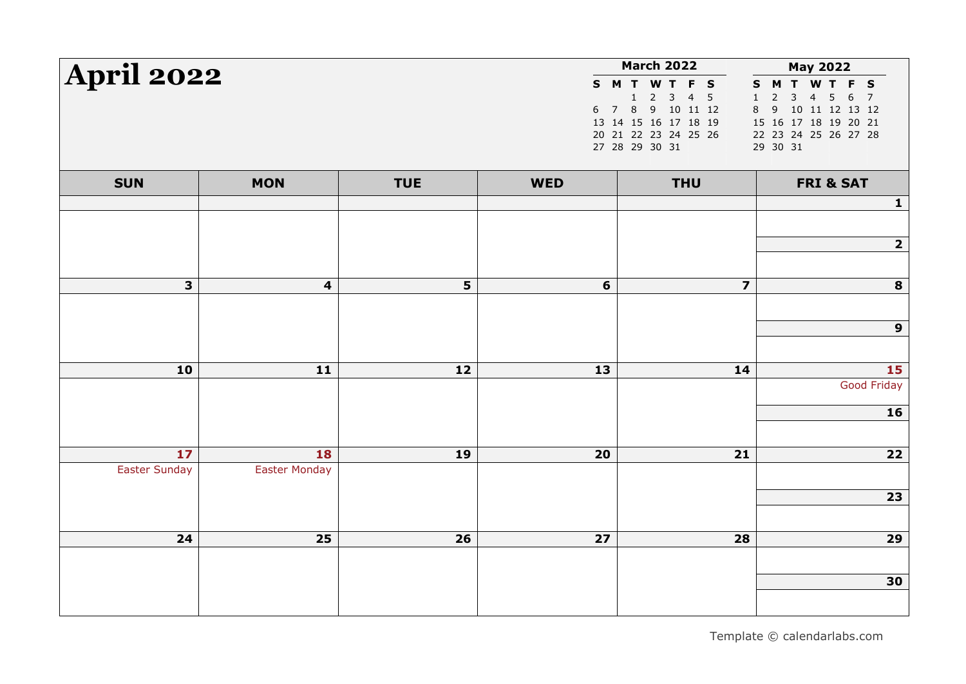|                      |                      |            |                | <b>March 2022</b>                                                                                                                         | <b>May 2022</b>                                                                                                                                                                                               |
|----------------------|----------------------|------------|----------------|-------------------------------------------------------------------------------------------------------------------------------------------|---------------------------------------------------------------------------------------------------------------------------------------------------------------------------------------------------------------|
| <b>April 2022</b>    |                      |            |                | S M T W T F S<br>$2 \quad 3$<br>4 <sub>5</sub><br>1<br>6 7 8 9 10 11 12<br>13 14 15 16 17 18 19<br>20 21 22 23 24 25 26<br>27 28 29 30 31 | M T W T F S<br>S<br>$\mathbf{3}$<br>$\overline{2}$<br>$\overline{4}$<br>$\,1\,$<br>5 <sup>7</sup><br>6<br>$\overline{7}$<br>8<br>9 10 11 12 13 12<br>15 16 17 18 19 20 21<br>22 23 24 25 26 27 28<br>29 30 31 |
| <b>SUN</b>           | <b>MON</b>           | <b>TUE</b> | <b>WED</b>     | <b>THU</b>                                                                                                                                | <b>FRI &amp; SAT</b>                                                                                                                                                                                          |
|                      |                      |            |                |                                                                                                                                           | $\mathbf{1}$                                                                                                                                                                                                  |
|                      |                      |            |                |                                                                                                                                           |                                                                                                                                                                                                               |
|                      |                      |            |                |                                                                                                                                           | $\overline{2}$                                                                                                                                                                                                |
|                      |                      |            |                |                                                                                                                                           |                                                                                                                                                                                                               |
| 3                    | 4                    | 5          | $6\phantom{1}$ | $\overline{\mathbf{z}}$                                                                                                                   | 8                                                                                                                                                                                                             |
|                      |                      |            |                |                                                                                                                                           |                                                                                                                                                                                                               |
|                      |                      |            |                |                                                                                                                                           | 9                                                                                                                                                                                                             |
|                      |                      |            |                |                                                                                                                                           |                                                                                                                                                                                                               |
| 10                   | 11                   | 12         | 13             | 14                                                                                                                                        | 15                                                                                                                                                                                                            |
|                      |                      |            |                |                                                                                                                                           | <b>Good Friday</b>                                                                                                                                                                                            |
|                      |                      |            |                |                                                                                                                                           | 16                                                                                                                                                                                                            |
|                      |                      |            |                |                                                                                                                                           |                                                                                                                                                                                                               |
| 17                   | 18                   | 19         | 20             | 21                                                                                                                                        | $22$                                                                                                                                                                                                          |
| <b>Easter Sunday</b> | <b>Easter Monday</b> |            |                |                                                                                                                                           |                                                                                                                                                                                                               |
|                      |                      |            |                |                                                                                                                                           | 23                                                                                                                                                                                                            |
|                      |                      |            |                |                                                                                                                                           |                                                                                                                                                                                                               |
| 24                   | 25                   | 26         | 27             | 28                                                                                                                                        | 29                                                                                                                                                                                                            |
|                      |                      |            |                |                                                                                                                                           |                                                                                                                                                                                                               |
|                      |                      |            |                |                                                                                                                                           | 30                                                                                                                                                                                                            |
|                      |                      |            |                |                                                                                                                                           |                                                                                                                                                                                                               |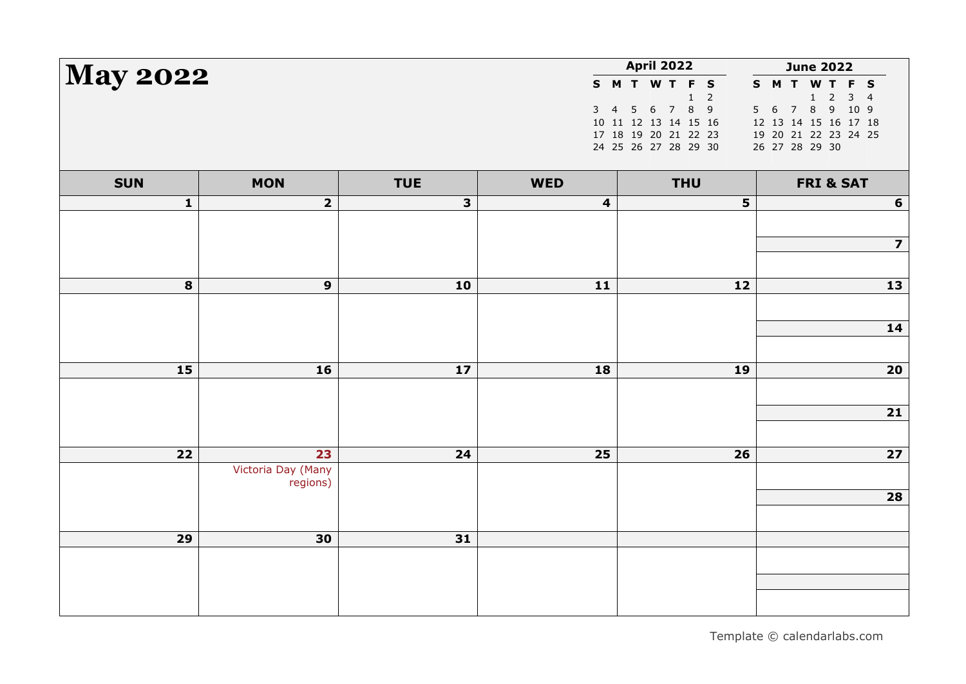| <b>May 2022</b> |                         |            |            | <b>April 2022</b>                              | <b>June 2022</b>                                                             |
|-----------------|-------------------------|------------|------------|------------------------------------------------|------------------------------------------------------------------------------|
|                 |                         |            |            | S M T W T F S<br>$\mathbf 1$<br>$\overline{2}$ | S M T W T F S<br>$\overline{2}$<br>3 <sup>7</sup><br>$1\,$<br>$\overline{4}$ |
|                 |                         |            |            | 3 4 5 6 7 8 9                                  | 5 6 7 8 9 10 9                                                               |
|                 |                         |            |            | 10 11 12 13 14 15 16                           | 12 13 14 15 16 17 18                                                         |
|                 |                         |            |            | 17 18 19 20 21 22 23                           | 19 20 21 22 23 24 25                                                         |
|                 |                         |            |            | 24 25 26 27 28 29 30                           | 26 27 28 29 30                                                               |
| <b>SUN</b>      | <b>MON</b>              | <b>TUE</b> | <b>WED</b> | <b>THU</b>                                     | <b>FRI &amp; SAT</b>                                                         |
| $\mathbf{1}$    | $\overline{\mathbf{2}}$ | 3          | 4          |                                                | 5<br>$6\phantom{1}$                                                          |
|                 |                         |            |            |                                                |                                                                              |
|                 |                         |            |            |                                                | $\overline{\mathbf{z}}$                                                      |
|                 |                         |            |            |                                                |                                                                              |
| 8               | $\mathbf{9}$            | 10         | $11$       | 12                                             | 13                                                                           |
|                 |                         |            |            |                                                |                                                                              |
|                 |                         |            |            |                                                |                                                                              |
|                 |                         |            |            |                                                | 14                                                                           |
|                 |                         |            |            |                                                |                                                                              |
| 15              | 16                      | $17$       | 18         | 19                                             | 20                                                                           |
|                 |                         |            |            |                                                |                                                                              |
|                 |                         |            |            |                                                |                                                                              |
|                 |                         |            |            |                                                | $21$                                                                         |
|                 |                         |            |            |                                                |                                                                              |
| 22              | 23                      | 24         | 25         | 26                                             | $\overline{27}$                                                              |
|                 | Victoria Day (Many      |            |            |                                                |                                                                              |
|                 | regions)                |            |            |                                                | 28                                                                           |
|                 |                         |            |            |                                                |                                                                              |
|                 |                         |            |            |                                                |                                                                              |
| 29              | 30                      | 31         |            |                                                |                                                                              |
|                 |                         |            |            |                                                |                                                                              |
|                 |                         |            |            |                                                |                                                                              |
|                 |                         |            |            |                                                |                                                                              |
|                 |                         |            |            |                                                |                                                                              |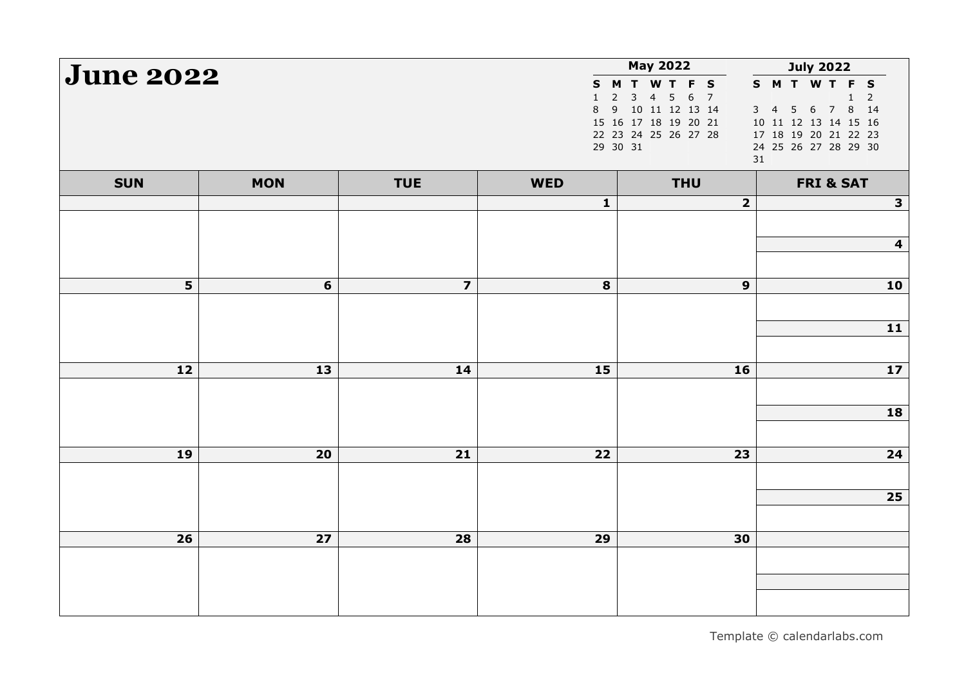| <b>June 2022</b> |            |                         |                                    | <b>May 2022</b>                                                                                                                                                | <b>July 2022</b>                                                                                                                                |
|------------------|------------|-------------------------|------------------------------------|----------------------------------------------------------------------------------------------------------------------------------------------------------------|-------------------------------------------------------------------------------------------------------------------------------------------------|
|                  |            |                         | S.<br>$\mathbf{1}$<br>$\,8\,$<br>9 | M T W T F S<br>$\overline{2}$<br>3<br>$\overline{7}$<br>$\overline{4}$<br>5<br>6<br>10 11 12 13 14<br>15 16 17 18 19 20 21<br>22 23 24 25 26 27 28<br>29 30 31 | S M T W T F S<br>$\mathbf{1}$<br>$\overline{2}$<br>3 4 5 6 7 8 14<br>10 11 12 13 14 15 16<br>17 18 19 20 21 22 23<br>24 25 26 27 28 29 30<br>31 |
| <b>SUN</b>       | <b>MON</b> | <b>TUE</b>              | <b>WED</b>                         | <b>THU</b>                                                                                                                                                     | <b>FRI &amp; SAT</b>                                                                                                                            |
|                  |            |                         | $\mathbf{1}$                       | $\mathbf{2}$                                                                                                                                                   | $\mathbf{3}$                                                                                                                                    |
|                  |            |                         |                                    |                                                                                                                                                                |                                                                                                                                                 |
|                  |            |                         |                                    |                                                                                                                                                                | $\overline{\mathbf{4}}$                                                                                                                         |
|                  |            |                         |                                    |                                                                                                                                                                |                                                                                                                                                 |
| $5\phantom{1}$   | 6          | $\overline{\mathbf{z}}$ | $\bf{8}$                           | $\boldsymbol{9}$                                                                                                                                               | 10                                                                                                                                              |
|                  |            |                         |                                    |                                                                                                                                                                | $11$                                                                                                                                            |
|                  |            |                         |                                    |                                                                                                                                                                |                                                                                                                                                 |
| 12               | 13         | 14                      | 15                                 | 16                                                                                                                                                             | 17                                                                                                                                              |
|                  |            |                         |                                    |                                                                                                                                                                |                                                                                                                                                 |
|                  |            |                         |                                    |                                                                                                                                                                | 18                                                                                                                                              |
|                  |            |                         |                                    |                                                                                                                                                                |                                                                                                                                                 |
| 19               | 20         | $21$                    | 22                                 | 23                                                                                                                                                             | $\overline{\mathbf{24}}$                                                                                                                        |
|                  |            |                         |                                    |                                                                                                                                                                |                                                                                                                                                 |
|                  |            |                         |                                    |                                                                                                                                                                | 25                                                                                                                                              |
|                  |            |                         |                                    |                                                                                                                                                                |                                                                                                                                                 |
| 26               | 27         | 28                      | 29                                 | 30                                                                                                                                                             |                                                                                                                                                 |
|                  |            |                         |                                    |                                                                                                                                                                |                                                                                                                                                 |
|                  |            |                         |                                    |                                                                                                                                                                |                                                                                                                                                 |
|                  |            |                         |                                    |                                                                                                                                                                |                                                                                                                                                 |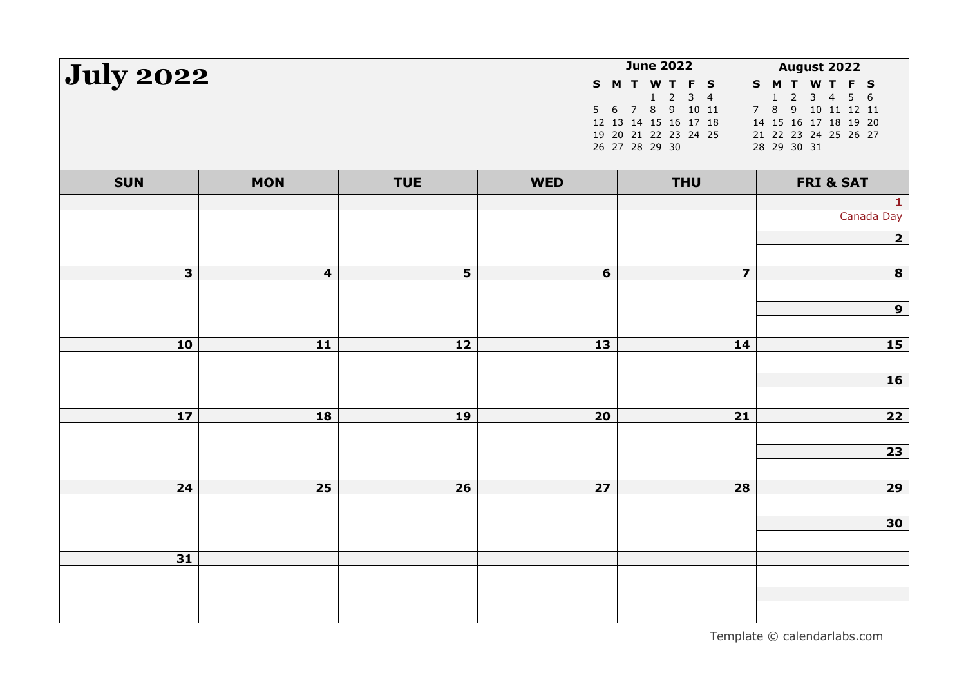| <b>July 2022</b>        |                         |            |                | <b>June 2022</b>                             | August 2022                                                                                       |
|-------------------------|-------------------------|------------|----------------|----------------------------------------------|---------------------------------------------------------------------------------------------------|
|                         |                         |            |                | S M T W T F S                                | S M T W T F S                                                                                     |
|                         |                         |            |                | $1\quad 2$<br>$3 \quad 4$<br>5 6 7 8 9 10 11 | $\overline{2}$<br>$\mathsf{3}$<br>$\overline{4}$<br>5 <sub>1</sub><br>1<br>6<br>7 8 9 10 11 12 11 |
|                         |                         |            |                | 12 13 14 15 16 17 18                         | 14 15 16 17 18 19 20                                                                              |
|                         |                         |            |                | 19 20 21 22 23 24 25                         | 21 22 23 24 25 26 27                                                                              |
|                         |                         |            |                | 26 27 28 29 30                               | 28 29 30 31                                                                                       |
| <b>SUN</b>              | <b>MON</b>              | <b>TUE</b> | <b>WED</b>     | <b>THU</b>                                   | <b>FRI &amp; SAT</b>                                                                              |
|                         |                         |            |                |                                              | $\mathbf{1}$                                                                                      |
|                         |                         |            |                |                                              | Canada Day                                                                                        |
|                         |                         |            |                |                                              | $\overline{\mathbf{2}}$                                                                           |
|                         |                         |            |                |                                              |                                                                                                   |
| $\overline{\mathbf{3}}$ | $\overline{\mathbf{4}}$ | 5          | $6\phantom{1}$ | $\overline{\mathbf{z}}$                      | 8                                                                                                 |
|                         |                         |            |                |                                              |                                                                                                   |
|                         |                         |            |                |                                              | 9                                                                                                 |
|                         |                         |            |                |                                              |                                                                                                   |
| 10                      | 11                      | 12         | 13             | 14                                           | 15                                                                                                |
|                         |                         |            |                |                                              |                                                                                                   |
|                         |                         |            |                |                                              | 16                                                                                                |
|                         |                         |            |                |                                              |                                                                                                   |
| 17                      | 18                      | 19         | 20             | $21$                                         | $22$                                                                                              |
|                         |                         |            |                |                                              |                                                                                                   |
|                         |                         |            |                |                                              | $\overline{23}$                                                                                   |
|                         |                         |            |                |                                              |                                                                                                   |
| 24                      | 25                      | 26         | 27             | 28                                           | 29                                                                                                |
|                         |                         |            |                |                                              |                                                                                                   |
|                         |                         |            |                |                                              | 30                                                                                                |
|                         |                         |            |                |                                              |                                                                                                   |
| 31                      |                         |            |                |                                              |                                                                                                   |
|                         |                         |            |                |                                              |                                                                                                   |
|                         |                         |            |                |                                              |                                                                                                   |
|                         |                         |            |                |                                              |                                                                                                   |
|                         |                         |            |                |                                              |                                                                                                   |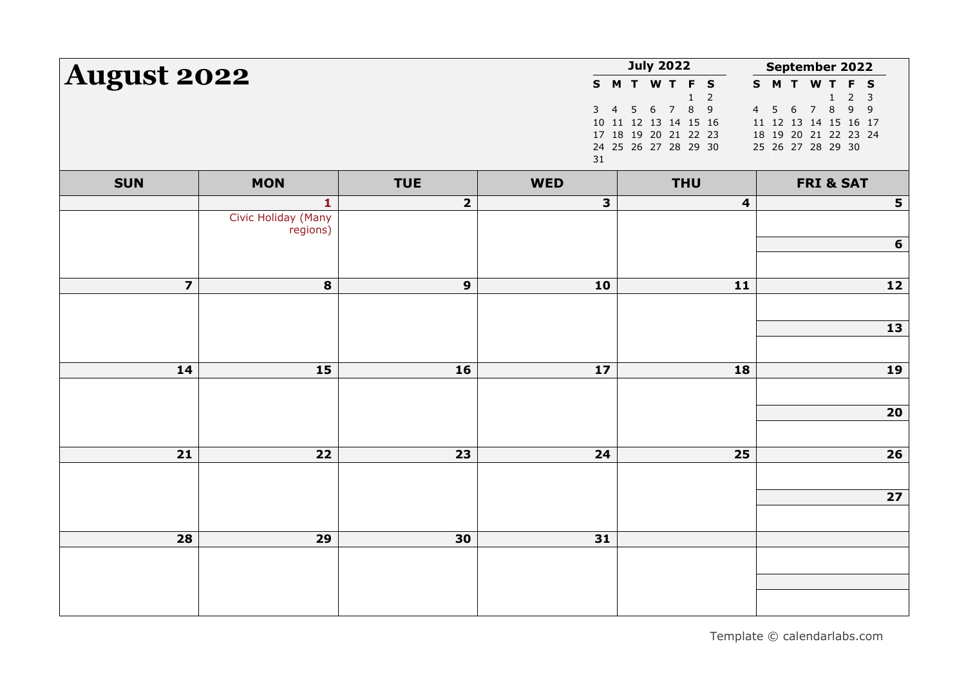| <b>August 2022</b>      |                                                 |                         |                          | <b>July 2022</b>                                                                      | September 2022                                                                                                                                        |  |
|-------------------------|-------------------------------------------------|-------------------------|--------------------------|---------------------------------------------------------------------------------------|-------------------------------------------------------------------------------------------------------------------------------------------------------|--|
|                         |                                                 |                         | 3<br>$\overline{4}$      | S M T W T F S<br>$\overline{2}$<br>$\mathbf{1}$<br>78<br>$\overline{9}$<br>$6\,$<br>5 | S M T W T<br>F<br>$\mathbf{s}$<br>$\overline{2}$<br>$\overline{3}$<br>$\mathbf{1}$<br>7 8<br>9<br>$\overline{9}$<br>4 <sub>5</sub><br>$6\overline{6}$ |  |
|                         |                                                 |                         | 31                       | 10 11 12 13 14 15 16<br>17 18 19 20 21 22 23<br>24 25 26 27 28 29 30                  | 11 12 13 14 15 16 17<br>18 19 20 21 22 23 24<br>25 26 27 28 29 30                                                                                     |  |
| <b>SUN</b>              | <b>MON</b>                                      | <b>TUE</b>              | <b>WED</b>               | <b>THU</b>                                                                            | <b>FRI &amp; SAT</b>                                                                                                                                  |  |
|                         | $\mathbf{1}$<br>Civic Holiday (Many<br>regions) | $\overline{\mathbf{2}}$ | 3                        | $\overline{\mathbf{4}}$                                                               | $5\phantom{a}$                                                                                                                                        |  |
|                         |                                                 |                         |                          |                                                                                       | 6                                                                                                                                                     |  |
| $\overline{\mathbf{z}}$ | 8                                               | $\boldsymbol{9}$        | 10                       | $11$                                                                                  | 12                                                                                                                                                    |  |
|                         |                                                 |                         |                          |                                                                                       | 13                                                                                                                                                    |  |
| 14                      | 15                                              | 16                      | $\overline{\mathbf{17}}$ | 18                                                                                    | <b>19</b>                                                                                                                                             |  |
|                         |                                                 |                         |                          |                                                                                       | 20                                                                                                                                                    |  |
|                         |                                                 |                         |                          |                                                                                       |                                                                                                                                                       |  |
| 21                      | 22                                              | 23                      | 24                       | 25                                                                                    | 26                                                                                                                                                    |  |
|                         |                                                 |                         |                          |                                                                                       | 27                                                                                                                                                    |  |
|                         |                                                 |                         |                          |                                                                                       |                                                                                                                                                       |  |
| 28                      | 29                                              | 30                      | 31                       |                                                                                       |                                                                                                                                                       |  |
|                         |                                                 |                         |                          |                                                                                       |                                                                                                                                                       |  |
|                         |                                                 |                         |                          |                                                                                       |                                                                                                                                                       |  |
|                         |                                                 |                         |                          |                                                                                       |                                                                                                                                                       |  |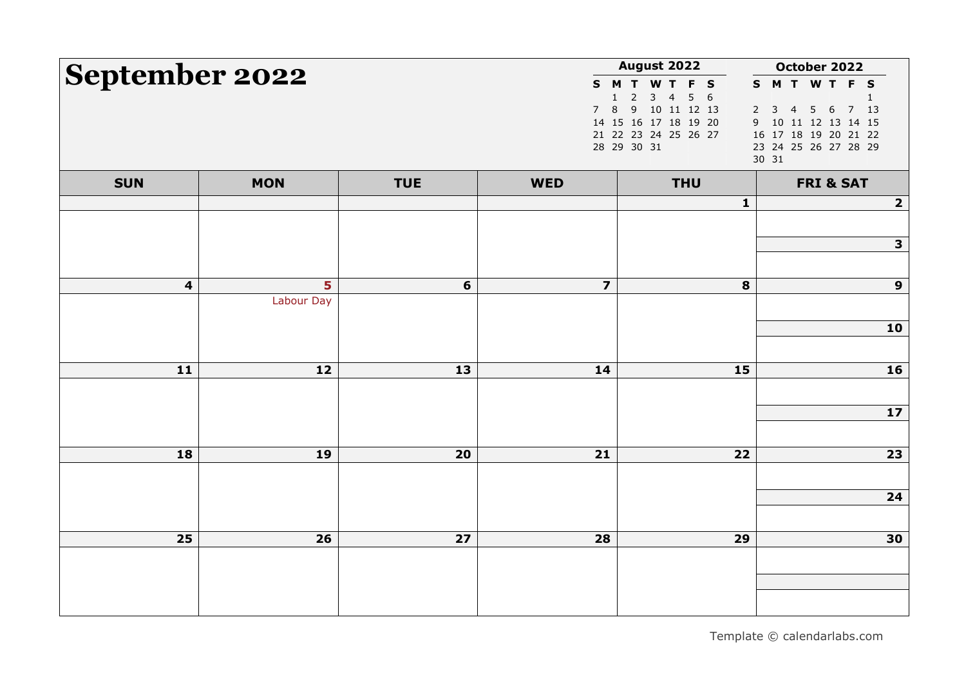|                         | <b>August 2022</b><br>September 2022 |            |                         |                                                                                                                                           | October 2022                                                                                                                                                      |
|-------------------------|--------------------------------------|------------|-------------------------|-------------------------------------------------------------------------------------------------------------------------------------------|-------------------------------------------------------------------------------------------------------------------------------------------------------------------|
|                         |                                      |            | 7 <sup>7</sup>          | S M T W T F S<br>$2 \quad 3 \quad 4$<br>$5\quad 6$<br>1<br>8 9 10 11 12 13<br>14 15 16 17 18 19 20<br>21 22 23 24 25 26 27<br>28 29 30 31 | S M T W T F S<br>$\overline{2}$<br>$6\overline{6}$<br>7 13<br>$3 \quad 4$<br>5<br>10 11 12 13 14 15<br>9<br>16 17 18 19 20 21 22<br>23 24 25 26 27 28 29<br>30 31 |
| <b>SUN</b>              | <b>MON</b>                           | <b>TUE</b> | <b>WED</b>              | <b>THU</b>                                                                                                                                | <b>FRI &amp; SAT</b>                                                                                                                                              |
|                         |                                      |            |                         | 1                                                                                                                                         | $\overline{2}$                                                                                                                                                    |
|                         |                                      |            |                         |                                                                                                                                           |                                                                                                                                                                   |
|                         |                                      |            |                         |                                                                                                                                           | $\mathbf{3}$                                                                                                                                                      |
| $\overline{\mathbf{4}}$ | 5                                    | 6          | $\overline{\mathbf{z}}$ | 8                                                                                                                                         | $\mathbf{9}$                                                                                                                                                      |
|                         | Labour Day                           |            |                         |                                                                                                                                           |                                                                                                                                                                   |
|                         |                                      |            |                         |                                                                                                                                           | 10                                                                                                                                                                |
|                         |                                      |            |                         |                                                                                                                                           |                                                                                                                                                                   |
| 11                      | 12                                   | 13         | 14                      | 15                                                                                                                                        | 16                                                                                                                                                                |
|                         |                                      |            |                         |                                                                                                                                           |                                                                                                                                                                   |
|                         |                                      |            |                         |                                                                                                                                           | $17$                                                                                                                                                              |
|                         |                                      |            |                         |                                                                                                                                           |                                                                                                                                                                   |
| 18                      | 19                                   | 20         | 21                      | 22                                                                                                                                        | 23                                                                                                                                                                |
|                         |                                      |            |                         |                                                                                                                                           | 24                                                                                                                                                                |
|                         |                                      |            |                         |                                                                                                                                           |                                                                                                                                                                   |
| 25                      | 26                                   | 27         | 28                      | 29                                                                                                                                        | 30                                                                                                                                                                |
|                         |                                      |            |                         |                                                                                                                                           |                                                                                                                                                                   |
|                         |                                      |            |                         |                                                                                                                                           |                                                                                                                                                                   |
|                         |                                      |            |                         |                                                                                                                                           |                                                                                                                                                                   |

Template © calendarlabs.com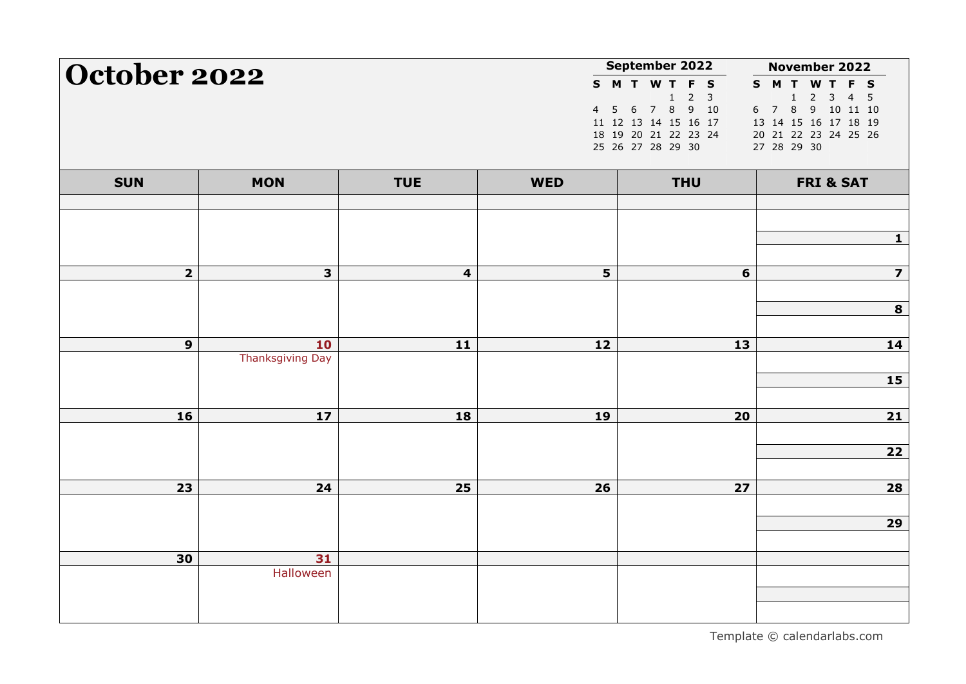| October 2022   |                         |                         |            | September 2022                              | November 2022                                          |
|----------------|-------------------------|-------------------------|------------|---------------------------------------------|--------------------------------------------------------|
|                |                         |                         |            | S M T W T F S<br>$2 \quad 3$<br>$\mathbf 1$ | S M T W T F S<br>$1 \quad 2 \quad 3$<br>4 <sub>5</sub> |
|                |                         |                         |            | 4 5 6 7 8 9 10                              | 6 7 8 9 10 11 10                                       |
|                |                         |                         |            | 11 12 13 14 15 16 17                        | 13 14 15 16 17 18 19                                   |
|                |                         |                         |            | 18 19 20 21 22 23 24                        | 20 21 22 23 24 25 26                                   |
|                |                         |                         |            | 25 26 27 28 29 30                           | 27 28 29 30                                            |
| <b>SUN</b>     | <b>MON</b>              | <b>TUE</b>              | <b>WED</b> | <b>THU</b>                                  | <b>FRI &amp; SAT</b>                                   |
|                |                         |                         |            |                                             |                                                        |
|                |                         |                         |            |                                             |                                                        |
|                |                         |                         |            |                                             |                                                        |
| $\overline{2}$ | 3 <sup>1</sup>          | $\overline{\mathbf{4}}$ | 5          | $6\phantom{1}$                              | $\overline{\mathbf{z}}$                                |
|                |                         |                         |            |                                             |                                                        |
|                |                         |                         |            |                                             | 8                                                      |
|                |                         |                         |            |                                             |                                                        |
| $\mathbf{9}$   | 10                      | 11                      | 12         | 13                                          | 14                                                     |
|                | <b>Thanksgiving Day</b> |                         |            |                                             |                                                        |
|                |                         |                         |            |                                             | <b>15</b>                                              |
| 16             | 17                      |                         |            |                                             |                                                        |
|                |                         | 18                      | 19         | 20                                          | $\overline{\mathbf{21}}$                               |
|                |                         |                         |            |                                             | $22$                                                   |
|                |                         |                         |            |                                             |                                                        |
| 23             | 24                      | 25                      | 26         | 27                                          | 28                                                     |
|                |                         |                         |            |                                             |                                                        |
|                |                         |                         |            |                                             | 29                                                     |
|                |                         |                         |            |                                             |                                                        |
| 30             | 31                      |                         |            |                                             |                                                        |
|                | Halloween               |                         |            |                                             |                                                        |
|                |                         |                         |            |                                             |                                                        |
|                |                         |                         |            |                                             |                                                        |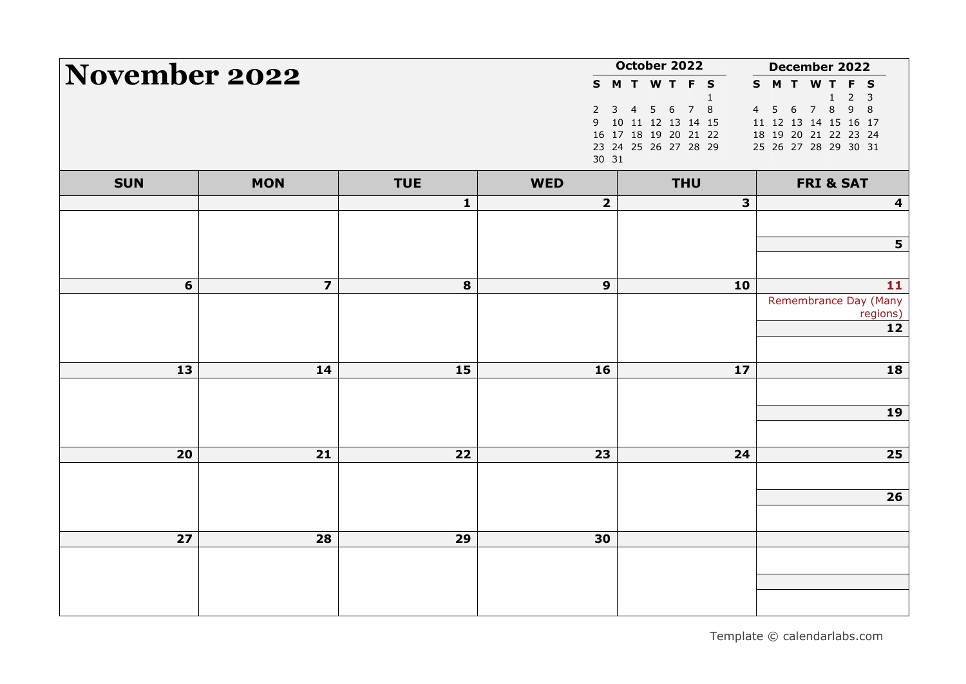| <b>November 2022</b> |                         |              |                              | October 2022                                                                                                         | December 2022                                                                                                                                          |
|----------------------|-------------------------|--------------|------------------------------|----------------------------------------------------------------------------------------------------------------------|--------------------------------------------------------------------------------------------------------------------------------------------------------|
|                      |                         |              | $\overline{2}$<br>9<br>30 31 | S M T W T F S<br>$\mathbf{1}$<br>5 6 7 8<br>3 4<br>10 11 12 13 14 15<br>16 17 18 19 20 21 22<br>23 24 25 26 27 28 29 | S M T W T F<br>$\mathbf{s}$<br>$\overline{2}$<br>3<br>1<br>5 6 7 8 9<br>8<br>4<br>11 12 13 14 15 16 17<br>18 19 20 21 22 23 24<br>25 26 27 28 29 30 31 |
| <b>SUN</b>           | <b>MON</b>              | <b>TUE</b>   | <b>WED</b>                   | <b>THU</b>                                                                                                           | <b>FRI &amp; SAT</b>                                                                                                                                   |
|                      |                         | $\mathbf{1}$ | $\overline{\mathbf{2}}$      | 3                                                                                                                    | $\overline{\mathbf{4}}$                                                                                                                                |
|                      |                         |              |                              |                                                                                                                      | 5                                                                                                                                                      |
| 6                    | $\overline{\mathbf{z}}$ | 8            | $\mathbf{9}$                 | 10                                                                                                                   | 11                                                                                                                                                     |
|                      |                         |              |                              |                                                                                                                      | Remembrance Day (Many<br>regions)<br>$12$                                                                                                              |
| 13                   | 14                      | 15           | 16                           | 17                                                                                                                   | 18                                                                                                                                                     |
|                      |                         |              |                              |                                                                                                                      | 19                                                                                                                                                     |
| 20                   | 21                      | 22           | 23                           | 24                                                                                                                   | 25                                                                                                                                                     |
|                      |                         |              |                              |                                                                                                                      | 26                                                                                                                                                     |
| 27                   | 28                      | 29           | 30                           |                                                                                                                      |                                                                                                                                                        |
|                      |                         |              |                              |                                                                                                                      |                                                                                                                                                        |